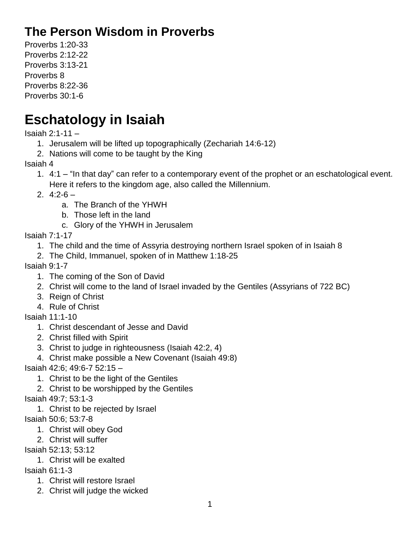## **The Person Wisdom in Proverbs**

Proverbs 1:20-33 Proverbs 2:12-22 Proverbs 3:13-21 Proverbs 8 Proverbs 8:22-36 Proverbs 30:1-6

## **Eschatology in Isaiah**

Isaiah 2:1-11 –

- 1. Jerusalem will be lifted up topographically (Zechariah 14:6-12)
- 2. Nations will come to be taught by the King

Isaiah 4

1. 4:1 – "In that day" can refer to a contemporary event of the prophet or an eschatological event. Here it refers to the kingdom age, also called the Millennium.

2.  $4:2-6$  –

- a. The Branch of the YHWH
- b. Those left in the land
- c. Glory of the YHWH in Jerusalem

Isaiah 7:1-17

- 1. The child and the time of Assyria destroying northern Israel spoken of in Isaiah 8
- 2. The Child, Immanuel, spoken of in Matthew 1:18-25

Isaiah 9:1-7

- 1. The coming of the Son of David
- 2. Christ will come to the land of Israel invaded by the Gentiles (Assyrians of 722 BC)
- 3. Reign of Christ
- 4. Rule of Christ

Isaiah 11:1-10

- 1. Christ descendant of Jesse and David
- 2. Christ filled with Spirit
- 3. Christ to judge in righteousness (Isaiah 42:2, 4)
- 4. Christ make possible a New Covenant (Isaiah 49:8)

Isaiah 42:6; 49:6-7 52:15 –

- 1. Christ to be the light of the Gentiles
- 2. Christ to be worshipped by the Gentiles

Isaiah 49:7; 53:1-3

- 1. Christ to be rejected by Israel
- Isaiah 50:6; 53:7-8
	- 1. Christ will obey God
	- 2. Christ will suffer

Isaiah 52:13; 53:12

1. Christ will be exalted

Isaiah 61:1-3

- 1. Christ will restore Israel
- 2. Christ will judge the wicked